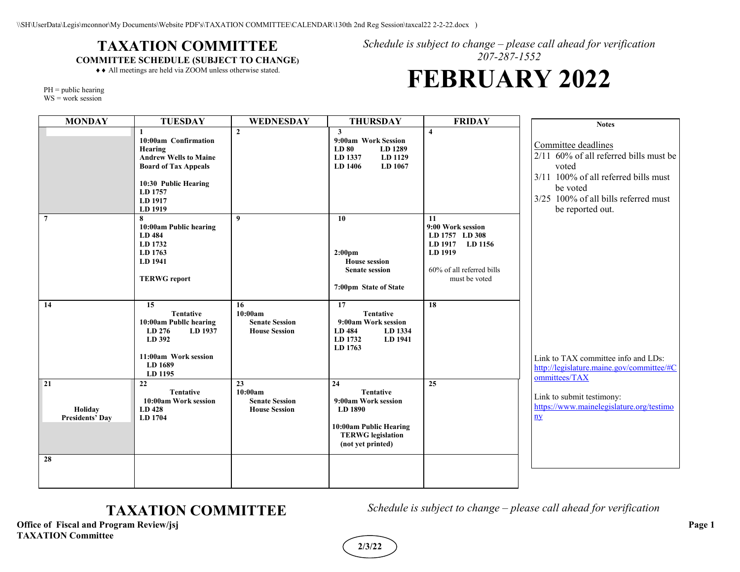## **TAXATION COMMITTEE COMMITTEE SCHEDULE (SUBJECT TO CHANGE)**

*Schedule is subject to change – please call ahead for verification 207-287-1552*

♦♦ All meetings are held via ZOOM unless otherwise stated.

# **FEBRUARY 2022**

PH = public hearing

WS = work session

| <b>MONDAY</b>                           | <b>TUESDAY</b>                                                                                                                                          | WEDNESDAY                                                      | <b>THURSDAY</b>                                                                                                                     | <b>FRIDAY</b>                                                                                                         | <b>Notes</b>                                                                                                                                                                           |
|-----------------------------------------|---------------------------------------------------------------------------------------------------------------------------------------------------------|----------------------------------------------------------------|-------------------------------------------------------------------------------------------------------------------------------------|-----------------------------------------------------------------------------------------------------------------------|----------------------------------------------------------------------------------------------------------------------------------------------------------------------------------------|
|                                         | 10:00am Confirmation<br>Hearing<br><b>Andrew Wells to Maine</b><br><b>Board of Tax Appeals</b><br>10:30 Public Hearing<br>LD 1757<br>LD 1917<br>LD 1919 | $\overline{2}$                                                 | $\overline{\mathbf{3}}$<br>9:00am Work Session<br>LD 80<br>LD 1289<br>LD 1337<br>LD 1129<br>LD 1406<br>LD 1067                      | $\overline{\mathbf{4}}$                                                                                               | Committee deadlines<br>2/11 60% of all referred bills must be<br>voted<br>3/11 100% of all referred bills must<br>be voted<br>3/25 100% of all bills referred must<br>be reported out. |
| $\overline{7}$                          | 8<br>10:00am Public hearing<br>LD 484<br>LD 1732<br>LD 1763<br>LD 1941<br><b>TERWG</b> report                                                           | $\boldsymbol{q}$                                               | 10<br>2:00 <sub>pm</sub><br><b>House session</b><br><b>Senate session</b><br>7:00pm State of State                                  | 11<br>9:00 Work session<br>LD 1757 LD 308<br>LD 1917 LD 1156<br>LD 1919<br>60% of all referred bills<br>must be voted |                                                                                                                                                                                        |
| 14                                      | 15<br><b>Tentative</b><br>10:00am Publlc hearing<br>LD 276<br>LD 1937<br>LD 392<br>11:00am Work session<br>LD 1689<br>LD 1195                           | 16<br>10:00am<br><b>Senate Session</b><br><b>House Session</b> | 17<br><b>Tentative</b><br>9:00am Work session<br>LD 484<br>LD 1334<br>LD 1732<br>LD 1941<br>LD 1763                                 | 18                                                                                                                    | Link to TAX committee info and LDs:<br>http://legislature.maine.gov/committee/#C<br>ommittees/TAX                                                                                      |
| 21<br>Holiday<br><b>Presidents' Day</b> | 22<br><b>Tentative</b><br>10:00am Work session<br>LD 428<br>LD 1704                                                                                     | 23<br>10:00am<br><b>Senate Session</b><br><b>House Session</b> | 24<br><b>Tentative</b><br>9:00am Work session<br>LD 1890<br>10:00am Public Hearing<br><b>TERWG</b> legislation<br>(not yet printed) | 25                                                                                                                    | Link to submit testimony:<br>https://www.mainelegislature.org/testimo<br>$\mathbf{ny}$                                                                                                 |
| 28                                      |                                                                                                                                                         |                                                                |                                                                                                                                     |                                                                                                                       |                                                                                                                                                                                        |

**Office of Fiscal and Program Review/jsj Page 1 TAXATION Committee**

**TAXATION COMMITTEE** *Schedule is subject to change – please call ahead for verification* 

**2/3/22**